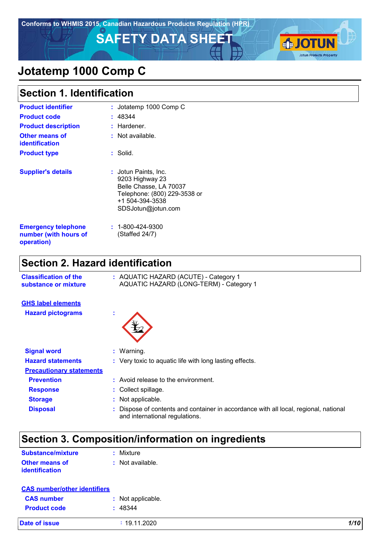**Conforms to WHMIS 2015, Canadian Hazardous Products Regulation (HPR)**

**SAFETY DATA SHEET AND LOTUN** 



# **Jotatemp 1000 Comp C**

### **Section 1. Identification**

| <b>Product identifier</b>                                         | : Jotatemp 1000 Comp C                                                                                                                             |
|-------------------------------------------------------------------|----------------------------------------------------------------------------------------------------------------------------------------------------|
| <b>Product code</b>                                               | : 48344                                                                                                                                            |
| <b>Product description</b>                                        | : Hardener.                                                                                                                                        |
| <b>Other means of</b><br><b>identification</b>                    | : Not available.                                                                                                                                   |
| <b>Product type</b>                                               | : Solid.                                                                                                                                           |
| <b>Supplier's details</b>                                         | <b>: J</b> otun Paints, Inc.<br>9203 Highway 23<br>Belle Chasse, LA 70037<br>Telephone: (800) 229-3538 or<br>+1 504-394-3538<br>SDSJotun@jotun.com |
| <b>Emergency telephone</b><br>number (with hours of<br>operation) | $: 1 - 800 - 424 - 9300$<br>(Staffed 24/7)                                                                                                         |

### **Section 2. Hazard identification**

| <b>Classification of the</b><br>substance or mixture |         | : AQUATIC HAZARD (ACUTE) - Category 1<br>AQUATIC HAZARD (LONG-TERM) - Category 1                                     |
|------------------------------------------------------|---------|----------------------------------------------------------------------------------------------------------------------|
| <b>GHS label elements</b>                            |         |                                                                                                                      |
| <b>Hazard pictograms</b>                             | ٠<br>×. |                                                                                                                      |
| <b>Signal word</b>                                   |         | $:$ Warning.                                                                                                         |
| <b>Hazard statements</b>                             |         | : Very toxic to aquatic life with long lasting effects.                                                              |
| <b>Precautionary statements</b>                      |         |                                                                                                                      |
| <b>Prevention</b>                                    |         | : Avoid release to the environment.                                                                                  |
| <b>Response</b>                                      |         | : Collect spillage.                                                                                                  |
| <b>Storage</b>                                       |         | Not applicable.                                                                                                      |
| <b>Disposal</b>                                      |         | Dispose of contents and container in accordance with all local, regional, national<br>and international regulations. |

## **Section 3. Composition/information on ingredients**

| Substance/mixture     | : Mixture        |
|-----------------------|------------------|
| <b>Other means of</b> | : Not available. |
| identification        |                  |

| <b>CAS number/other identifiers</b> |                   |      |
|-------------------------------------|-------------------|------|
| <b>CAS number</b>                   | : Not applicable. |      |
| <b>Product code</b>                 | : 48344           |      |
| <b>Date of issue</b>                | : 19.11.2020      | 1/10 |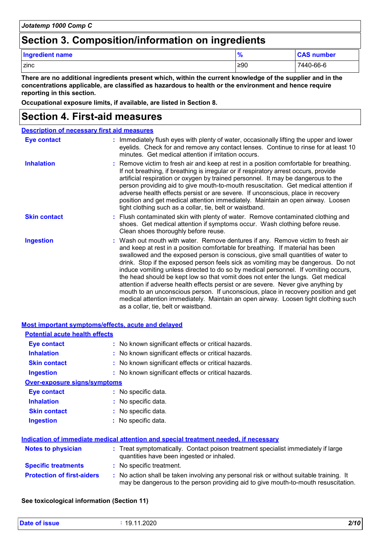### **Section 3. Composition/information on ingredients**

| <b>Ingredient name</b> | $\bullet$<br>$\prime$ | <b>CAS number</b> |
|------------------------|-----------------------|-------------------|
| I zinc                 | $\geq 90$             | 7440-66-6         |

**There are no additional ingredients present which, within the current knowledge of the supplier and in the concentrations applicable, are classified as hazardous to health or the environment and hence require reporting in this section.**

**Occupational exposure limits, if available, are listed in Section 8.**

### **Section 4. First-aid measures**

| <b>Description of necessary first aid measures</b> |                                                                                                                                                                                                                                                                                                                                                                                                                                                                                                                                                                                                                                                                                                                                                                                                                              |
|----------------------------------------------------|------------------------------------------------------------------------------------------------------------------------------------------------------------------------------------------------------------------------------------------------------------------------------------------------------------------------------------------------------------------------------------------------------------------------------------------------------------------------------------------------------------------------------------------------------------------------------------------------------------------------------------------------------------------------------------------------------------------------------------------------------------------------------------------------------------------------------|
| <b>Eye contact</b>                                 | : Immediately flush eyes with plenty of water, occasionally lifting the upper and lower<br>eyelids. Check for and remove any contact lenses. Continue to rinse for at least 10<br>minutes. Get medical attention if irritation occurs.                                                                                                                                                                                                                                                                                                                                                                                                                                                                                                                                                                                       |
| <b>Inhalation</b>                                  | : Remove victim to fresh air and keep at rest in a position comfortable for breathing.<br>If not breathing, if breathing is irregular or if respiratory arrest occurs, provide<br>artificial respiration or oxygen by trained personnel. It may be dangerous to the<br>person providing aid to give mouth-to-mouth resuscitation. Get medical attention if<br>adverse health effects persist or are severe. If unconscious, place in recovery<br>position and get medical attention immediately. Maintain an open airway. Loosen<br>tight clothing such as a collar, tie, belt or waistband.                                                                                                                                                                                                                                 |
| <b>Skin contact</b>                                | : Flush contaminated skin with plenty of water. Remove contaminated clothing and<br>shoes. Get medical attention if symptoms occur. Wash clothing before reuse.<br>Clean shoes thoroughly before reuse.                                                                                                                                                                                                                                                                                                                                                                                                                                                                                                                                                                                                                      |
| <b>Ingestion</b>                                   | : Wash out mouth with water. Remove dentures if any. Remove victim to fresh air<br>and keep at rest in a position comfortable for breathing. If material has been<br>swallowed and the exposed person is conscious, give small quantities of water to<br>drink. Stop if the exposed person feels sick as vomiting may be dangerous. Do not<br>induce vomiting unless directed to do so by medical personnel. If vomiting occurs,<br>the head should be kept low so that vomit does not enter the lungs. Get medical<br>attention if adverse health effects persist or are severe. Never give anything by<br>mouth to an unconscious person. If unconscious, place in recovery position and get<br>medical attention immediately. Maintain an open airway. Loosen tight clothing such<br>as a collar, tie, belt or waistband. |

| <b>Most important symptoms/effects, acute and delayed</b> |                                                                                                                                                                               |
|-----------------------------------------------------------|-------------------------------------------------------------------------------------------------------------------------------------------------------------------------------|
| <b>Potential acute health effects</b>                     |                                                                                                                                                                               |
| <b>Eye contact</b>                                        | : No known significant effects or critical hazards.                                                                                                                           |
| <b>Inhalation</b>                                         | : No known significant effects or critical hazards.                                                                                                                           |
| <b>Skin contact</b>                                       | : No known significant effects or critical hazards.                                                                                                                           |
| Ingestion                                                 | : No known significant effects or critical hazards.                                                                                                                           |
| <b>Over-exposure signs/symptoms</b>                       |                                                                                                                                                                               |
| Eye contact                                               | : No specific data.                                                                                                                                                           |
| <b>Inhalation</b>                                         | : No specific data.                                                                                                                                                           |
| <b>Skin contact</b>                                       | : No specific data.                                                                                                                                                           |
| <b>Ingestion</b>                                          | : No specific data.                                                                                                                                                           |
|                                                           |                                                                                                                                                                               |
|                                                           | Indication of immediate medical attention and special treatment needed, if necessary                                                                                          |
| Notes to physician                                        | : Treat symptomatically. Contact poison treatment specialist immediately if large<br>quantities have been ingested or inhaled.                                                |
| <b>Specific treatments</b>                                | : No specific treatment.                                                                                                                                                      |
| <b>Protection of first-aiders</b>                         | : No action shall be taken involving any personal risk or without suitable training. It<br>may be dangerous to the person providing aid to give mouth-to-mouth resuscitation. |

#### **See toxicological information (Section 11)**

| <b>Date of issue</b><br>. | 1.2020<br>19.<br>л л | 2/10 |
|---------------------------|----------------------|------|
|                           |                      |      |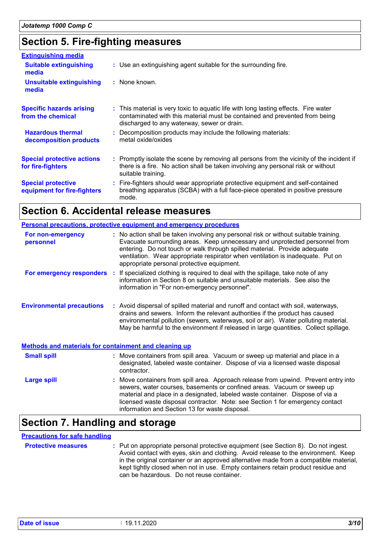### **Section 5. Fire-fighting measures**

| <b>Extinguishing media</b><br><b>Suitable extinguishing</b><br>media<br>Unsuitable extinguishing<br>media | : Use an extinguishing agent suitable for the surrounding fire.<br>: None known.                                                                                                                                 |
|-----------------------------------------------------------------------------------------------------------|------------------------------------------------------------------------------------------------------------------------------------------------------------------------------------------------------------------|
| <b>Specific hazards arising</b><br>from the chemical                                                      | : This material is very toxic to aquatic life with long lasting effects. Fire water<br>contaminated with this material must be contained and prevented from being<br>discharged to any waterway, sewer or drain. |
| <b>Hazardous thermal</b><br>decomposition products                                                        | : Decomposition products may include the following materials:<br>metal oxide/oxides                                                                                                                              |
| <b>Special protective actions</b><br>for fire-fighters                                                    | : Promptly isolate the scene by removing all persons from the vicinity of the incident if<br>there is a fire. No action shall be taken involving any personal risk or without<br>suitable training.              |
| <b>Special protective</b><br>equipment for fire-fighters                                                  | : Fire-fighters should wear appropriate protective equipment and self-contained<br>breathing apparatus (SCBA) with a full face-piece operated in positive pressure<br>mode.                                      |

### **Section 6. Accidental release measures**

|                                                              | <b>Personal precautions, protective equipment and emergency procedures</b>                                                                                                                                                                                                                                                                                                        |
|--------------------------------------------------------------|-----------------------------------------------------------------------------------------------------------------------------------------------------------------------------------------------------------------------------------------------------------------------------------------------------------------------------------------------------------------------------------|
| For non-emergency<br>personnel                               | : No action shall be taken involving any personal risk or without suitable training.<br>Evacuate surrounding areas. Keep unnecessary and unprotected personnel from<br>entering. Do not touch or walk through spilled material. Provide adequate<br>ventilation. Wear appropriate respirator when ventilation is inadequate. Put on<br>appropriate personal protective equipment. |
|                                                              | <b>For emergency responders</b> : If specialized clothing is required to deal with the spillage, take note of any<br>information in Section 8 on suitable and unsuitable materials. See also the<br>information in "For non-emergency personnel".                                                                                                                                 |
| <b>Environmental precautions</b>                             | : Avoid dispersal of spilled material and runoff and contact with soil, waterways,<br>drains and sewers. Inform the relevant authorities if the product has caused<br>environmental pollution (sewers, waterways, soil or air). Water polluting material.<br>May be harmful to the environment if released in large quantities. Collect spillage.                                 |
| <b>Methods and materials for containment and cleaning up</b> |                                                                                                                                                                                                                                                                                                                                                                                   |
| <b>Small spill</b>                                           | : Move containers from spill area. Vacuum or sweep up material and place in a<br>designated, labeled waste container. Dispose of via a licensed waste disposal<br>contractor.                                                                                                                                                                                                     |
| <b>Large spill</b>                                           | : Move containers from spill area. Approach release from upwind. Prevent entry into<br>sewers, water courses, basements or confined areas. Vacuum or sweep up<br>material and place in a designated, labeled waste container. Dispose of via a<br>licensed waste disposal contractor. Note: see Section 1 for emergency contact<br>information and Section 13 for waste disposal. |

# **Section 7. Handling and storage**

#### **Precautions for safe handling**

| <b>Protective measures</b> | : Put on appropriate personal protective equipment (see Section 8). Do not ingest.<br>Avoid contact with eyes, skin and clothing. Avoid release to the environment. Keep<br>in the original container or an approved alternative made from a compatible material,<br>kept tightly closed when not in use. Empty containers retain product residue and<br>can be hazardous. Do not reuse container. |
|----------------------------|----------------------------------------------------------------------------------------------------------------------------------------------------------------------------------------------------------------------------------------------------------------------------------------------------------------------------------------------------------------------------------------------------|
|                            |                                                                                                                                                                                                                                                                                                                                                                                                    |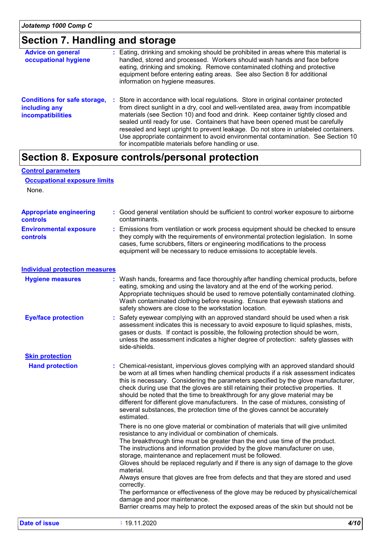### **Section 7. Handling and storage**

| <b>Advice on general</b><br>occupational hygiene                                 | : Eating, drinking and smoking should be prohibited in areas where this material is<br>handled, stored and processed. Workers should wash hands and face before<br>eating, drinking and smoking. Remove contaminated clothing and protective<br>equipment before entering eating areas. See also Section 8 for additional<br>information on hygiene measures.                                                                                                                                                                                                                      |
|----------------------------------------------------------------------------------|------------------------------------------------------------------------------------------------------------------------------------------------------------------------------------------------------------------------------------------------------------------------------------------------------------------------------------------------------------------------------------------------------------------------------------------------------------------------------------------------------------------------------------------------------------------------------------|
| <b>Conditions for safe storage,</b><br>including any<br><b>incompatibilities</b> | : Store in accordance with local regulations. Store in original container protected<br>from direct sunlight in a dry, cool and well-ventilated area, away from incompatible<br>materials (see Section 10) and food and drink. Keep container tightly closed and<br>sealed until ready for use. Containers that have been opened must be carefully<br>resealed and kept upright to prevent leakage. Do not store in unlabeled containers.<br>Use appropriate containment to avoid environmental contamination. See Section 10<br>for incompatible materials before handling or use. |

# **Section 8. Exposure controls/personal protection**

| <b>Control parameters</b>                  |                                                                                                                                                                                                                                                                                                                                                                                                                                                                                                                                                                                                                                                                                                                                                                                            |
|--------------------------------------------|--------------------------------------------------------------------------------------------------------------------------------------------------------------------------------------------------------------------------------------------------------------------------------------------------------------------------------------------------------------------------------------------------------------------------------------------------------------------------------------------------------------------------------------------------------------------------------------------------------------------------------------------------------------------------------------------------------------------------------------------------------------------------------------------|
| <b>Occupational exposure limits</b>        |                                                                                                                                                                                                                                                                                                                                                                                                                                                                                                                                                                                                                                                                                                                                                                                            |
| None.                                      |                                                                                                                                                                                                                                                                                                                                                                                                                                                                                                                                                                                                                                                                                                                                                                                            |
|                                            |                                                                                                                                                                                                                                                                                                                                                                                                                                                                                                                                                                                                                                                                                                                                                                                            |
| <b>Appropriate engineering</b><br>controls | : Good general ventilation should be sufficient to control worker exposure to airborne<br>contaminants.                                                                                                                                                                                                                                                                                                                                                                                                                                                                                                                                                                                                                                                                                    |
| <b>Environmental exposure</b><br>controls  | : Emissions from ventilation or work process equipment should be checked to ensure<br>they comply with the requirements of environmental protection legislation. In some<br>cases, fume scrubbers, filters or engineering modifications to the process<br>equipment will be necessary to reduce emissions to acceptable levels.                                                                                                                                                                                                                                                                                                                                                                                                                                                            |
| <b>Individual protection measures</b>      |                                                                                                                                                                                                                                                                                                                                                                                                                                                                                                                                                                                                                                                                                                                                                                                            |
| <b>Hygiene measures</b>                    | Wash hands, forearms and face thoroughly after handling chemical products, before<br>eating, smoking and using the lavatory and at the end of the working period.<br>Appropriate techniques should be used to remove potentially contaminated clothing.<br>Wash contaminated clothing before reusing. Ensure that eyewash stations and<br>safety showers are close to the workstation location.                                                                                                                                                                                                                                                                                                                                                                                            |
| <b>Eye/face protection</b>                 | : Safety eyewear complying with an approved standard should be used when a risk<br>assessment indicates this is necessary to avoid exposure to liquid splashes, mists,<br>gases or dusts. If contact is possible, the following protection should be worn,<br>unless the assessment indicates a higher degree of protection: safety glasses with<br>side-shields.                                                                                                                                                                                                                                                                                                                                                                                                                          |
| <b>Skin protection</b>                     |                                                                                                                                                                                                                                                                                                                                                                                                                                                                                                                                                                                                                                                                                                                                                                                            |
| <b>Hand protection</b>                     | : Chemical-resistant, impervious gloves complying with an approved standard should<br>be worn at all times when handling chemical products if a risk assessment indicates<br>this is necessary. Considering the parameters specified by the glove manufacturer,<br>check during use that the gloves are still retaining their protective properties. It<br>should be noted that the time to breakthrough for any glove material may be<br>different for different glove manufacturers. In the case of mixtures, consisting of<br>several substances, the protection time of the gloves cannot be accurately<br>estimated.                                                                                                                                                                  |
|                                            | There is no one glove material or combination of materials that will give unlimited<br>resistance to any individual or combination of chemicals.<br>The breakthrough time must be greater than the end use time of the product.<br>The instructions and information provided by the glove manufacturer on use,<br>storage, maintenance and replacement must be followed.<br>Gloves should be replaced regularly and if there is any sign of damage to the glove<br>material.<br>Always ensure that gloves are free from defects and that they are stored and used<br>correctly.<br>The performance or effectiveness of the glove may be reduced by physical/chemical<br>damage and poor maintenance.<br>Barrier creams may help to protect the exposed areas of the skin but should not be |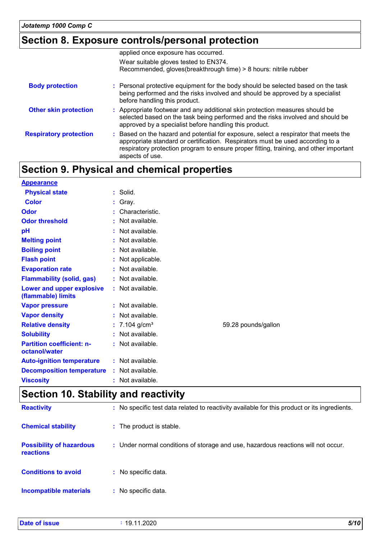### **Section 8. Exposure controls/personal protection**

|                               | applied once exposure has occurred.                                                                                                                                                                                                                                                 |
|-------------------------------|-------------------------------------------------------------------------------------------------------------------------------------------------------------------------------------------------------------------------------------------------------------------------------------|
|                               | Wear suitable gloves tested to EN374.                                                                                                                                                                                                                                               |
|                               | Recommended, gloves(breakthrough time) > 8 hours: nitrile rubber                                                                                                                                                                                                                    |
| <b>Body protection</b>        | : Personal protective equipment for the body should be selected based on the task<br>being performed and the risks involved and should be approved by a specialist<br>before handling this product.                                                                                 |
| <b>Other skin protection</b>  | : Appropriate footwear and any additional skin protection measures should be<br>selected based on the task being performed and the risks involved and should be<br>approved by a specialist before handling this product.                                                           |
| <b>Respiratory protection</b> | : Based on the hazard and potential for exposure, select a respirator that meets the<br>appropriate standard or certification. Respirators must be used according to a<br>respiratory protection program to ensure proper fitting, training, and other important<br>aspects of use. |

# **Section 9. Physical and chemical properties**

| <b>Appearance</b>                                 |                             |                     |
|---------------------------------------------------|-----------------------------|---------------------|
| <b>Physical state</b>                             | Solid.<br>÷.                |                     |
| <b>Color</b>                                      | : Gray.                     |                     |
| Odor                                              | Characteristic.             |                     |
| <b>Odor threshold</b>                             | Not available.<br>ŧ.        |                     |
| pH                                                | Not available.              |                     |
| <b>Melting point</b>                              | Not available.              |                     |
| <b>Boiling point</b>                              | : Not available.            |                     |
| <b>Flash point</b>                                | : Not applicable.           |                     |
| <b>Evaporation rate</b>                           | Not available.              |                     |
| <b>Flammability (solid, gas)</b>                  | : Not available.            |                     |
| Lower and upper explosive<br>(flammable) limits   | : Not available.            |                     |
| <b>Vapor pressure</b>                             | : Not available.            |                     |
| <b>Vapor density</b>                              | $:$ Not available.          |                     |
| <b>Relative density</b>                           | : $7.104$ g/cm <sup>3</sup> | 59.28 pounds/gallon |
| <b>Solubility</b>                                 | Not available.<br>÷.        |                     |
| <b>Partition coefficient: n-</b><br>octanol/water | : Not available.            |                     |
| <b>Auto-ignition temperature</b>                  | : Not available.            |                     |
| <b>Decomposition temperature</b>                  | : Not available.            |                     |
| <b>Viscosity</b>                                  | Not available.              |                     |

### **Section 10. Stability and reactivity**

| <b>Reactivity</b>                                   | : No specific test data related to reactivity available for this product or its ingredients. |
|-----------------------------------------------------|----------------------------------------------------------------------------------------------|
| <b>Chemical stability</b>                           | : The product is stable.                                                                     |
| <b>Possibility of hazardous</b><br><b>reactions</b> | : Under normal conditions of storage and use, hazardous reactions will not occur.            |
| <b>Conditions to avoid</b>                          | : No specific data.                                                                          |
| <b>Incompatible materials</b>                       | : No specific data.                                                                          |

| Date of<br>f issue | റററ<br>19.<br>.uzu | 5/10<br>$\sim$ $\sim$ |
|--------------------|--------------------|-----------------------|
|                    |                    |                       |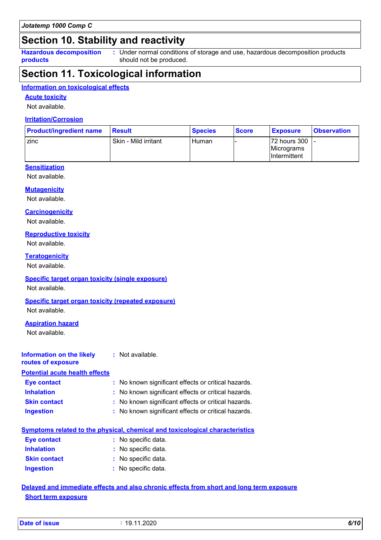### **Section 10. Stability and reactivity**

**Hazardous decomposition products**

Under normal conditions of storage and use, hazardous decomposition products **:** should not be produced.

### **Section 11. Toxicological information**

#### **Information on toxicological effects**

#### **Acute toxicity**

Not available.

#### **Irritation/Corrosion**

| <b>Product/ingredient name</b> | Result               | <b>Species</b> | <b>Score</b> | <b>Exposure</b>                                 | <b>Observation</b> |
|--------------------------------|----------------------|----------------|--------------|-------------------------------------------------|--------------------|
| zinc                           | Skin - Mild irritant | <b>Human</b>   |              | I72 hours 300 I -<br>Micrograms<br>Intermittent |                    |

### **Sensitization**

Not available.

#### **Mutagenicity**

Not available.

#### **Carcinogenicity**

Not available.

#### **Reproductive toxicity**

Not available.

#### **Teratogenicity**

Not available.

#### **Specific target organ toxicity (single exposure)**

Not available.

#### **Specific target organ toxicity (repeated exposure)**

Not available.

#### **Aspiration hazard**

Not available.

#### **Information on the likely routes of exposure :** Not available.

**Potential acute health effects**

| Eye contact         | : No known significant effects or critical hazards. |
|---------------------|-----------------------------------------------------|
| <b>Inhalation</b>   | : No known significant effects or critical hazards. |
| <b>Skin contact</b> | : No known significant effects or critical hazards. |
| <b>Ingestion</b>    | : No known significant effects or critical hazards. |

|  |  |  |  |  |  |  |  | <u>Symptoms related to the physical, chemical and toxicological characteristics</u> |
|--|--|--|--|--|--|--|--|-------------------------------------------------------------------------------------|
|--|--|--|--|--|--|--|--|-------------------------------------------------------------------------------------|

| Eye contact         | : No specific data. |
|---------------------|---------------------|
| <b>Inhalation</b>   | : No specific data. |
| <b>Skin contact</b> | : No specific data. |
| <b>Ingestion</b>    | : No specific data. |

### **Delayed and immediate effects and also chronic effects from short and long term exposure Short term exposure**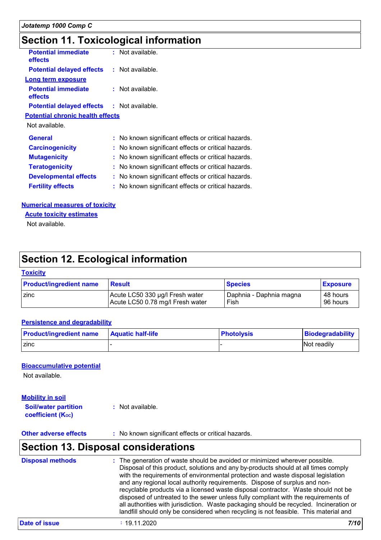### **Section 11. Toxicological information**

| <b>Potential immediate</b><br>effects             | : Not available.                                    |  |
|---------------------------------------------------|-----------------------------------------------------|--|
| <b>Potential delayed effects : Not available.</b> |                                                     |  |
| <b>Long term exposure</b>                         |                                                     |  |
| <b>Potential immediate</b><br>effects             | : Not available.                                    |  |
| <b>Potential delayed effects : Not available.</b> |                                                     |  |
| <b>Potential chronic health effects</b>           |                                                     |  |
| Not available.                                    |                                                     |  |
| <b>General</b>                                    | : No known significant effects or critical hazards. |  |
| <b>Carcinogenicity</b>                            | : No known significant effects or critical hazards. |  |
| <b>Mutagenicity</b>                               | : No known significant effects or critical hazards. |  |
| <b>Teratogenicity</b>                             | No known significant effects or critical hazards.   |  |
| <b>Developmental effects</b>                      | No known significant effects or critical hazards.   |  |
| <b>Fertility effects</b>                          | No known significant effects or critical hazards.   |  |
|                                                   |                                                     |  |

#### **Numerical measures of toxicity**

**Acute toxicity estimates**

Not available.

### **Section 12. Ecological information**

#### **Toxicity**

| <b>Product/ingredient name</b> | <b>Result</b>                    | <b>Species</b>          | <b>Exposure</b> |
|--------------------------------|----------------------------------|-------------------------|-----------------|
| <b>Zinc</b>                    | Acute LC50 330 µg/l Fresh water  | Daphnia - Daphnia magna | ∣ 48 hours      |
|                                | Acute LC50 0.78 mg/l Fresh water | Fish                    | 96 hours        |

#### **Persistence and degradability**

| <b>Product/ingredient name</b> | <b>Aquatic half-life</b> | <b>Photolysis</b> | Biodegradability |
|--------------------------------|--------------------------|-------------------|------------------|
| <b>Zinc</b>                    |                          |                   | Not readily      |

#### **Bioaccumulative potential**

Not available.

**Mobility in soil**

**Soil/water partition coefficient (Koc) :** Not available.

**Other adverse effects** : No known significant effects or critical hazards.

### **Section 13. Disposal considerations**

| : The generation of waste should be avoided or minimized wherever possible.<br><b>Disposal methods</b><br>Disposal of this product, solutions and any by-products should at all times comply<br>with the requirements of environmental protection and waste disposal legislation<br>and any regional local authority requirements. Dispose of surplus and non-<br>recyclable products via a licensed waste disposal contractor. Waste should not be<br>disposed of untreated to the sewer unless fully compliant with the requirements of<br>all authorities with jurisdiction. Waste packaging should be recycled. Incineration or<br>landfill should only be considered when recycling is not feasible. This material and |  |
|-----------------------------------------------------------------------------------------------------------------------------------------------------------------------------------------------------------------------------------------------------------------------------------------------------------------------------------------------------------------------------------------------------------------------------------------------------------------------------------------------------------------------------------------------------------------------------------------------------------------------------------------------------------------------------------------------------------------------------|--|
|-----------------------------------------------------------------------------------------------------------------------------------------------------------------------------------------------------------------------------------------------------------------------------------------------------------------------------------------------------------------------------------------------------------------------------------------------------------------------------------------------------------------------------------------------------------------------------------------------------------------------------------------------------------------------------------------------------------------------------|--|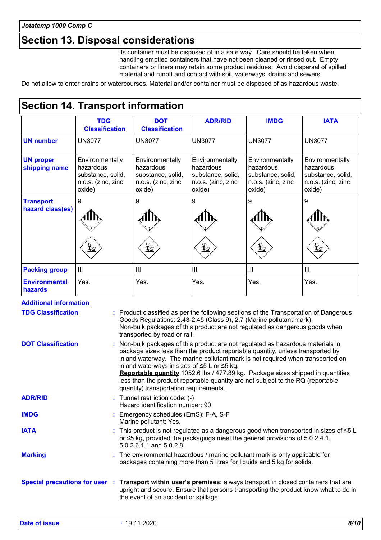### **Section 13. Disposal considerations**

its container must be disposed of in a safe way. Care should be taken when handling emptied containers that have not been cleaned or rinsed out. Empty containers or liners may retain some product residues. Avoid dispersal of spilled material and runoff and contact with soil, waterways, drains and sewers.

Do not allow to enter drains or watercourses. Material and/or container must be disposed of as hazardous waste.

### **Section 14. Transport information**

|                                      | <b>TDG</b><br><b>Classification</b>                                               | <b>DOT</b><br><b>Classification</b>                                               | <b>ADR/RID</b>                                                                    | <b>IMDG</b>                                                                       | <b>IATA</b>                                                                       |
|--------------------------------------|-----------------------------------------------------------------------------------|-----------------------------------------------------------------------------------|-----------------------------------------------------------------------------------|-----------------------------------------------------------------------------------|-----------------------------------------------------------------------------------|
| <b>UN number</b>                     | <b>UN3077</b>                                                                     | <b>UN3077</b>                                                                     | <b>UN3077</b>                                                                     | <b>UN3077</b>                                                                     | <b>UN3077</b>                                                                     |
| <b>UN proper</b><br>shipping name    | Environmentally<br>hazardous<br>substance, solid,<br>n.o.s. (zinc, zinc<br>oxide) | Environmentally<br>hazardous<br>substance, solid,<br>n.o.s. (zinc, zinc<br>oxide) | Environmentally<br>hazardous<br>substance, solid,<br>n.o.s. (zinc, zinc<br>oxide) | Environmentally<br>hazardous<br>substance, solid,<br>n.o.s. (zinc, zinc<br>oxide) | Environmentally<br>hazardous<br>substance, solid,<br>n.o.s. (zinc, zinc<br>oxide) |
| <b>Transport</b><br>hazard class(es) | 9<br>¥∠                                                                           | 9                                                                                 | 9                                                                                 | 9                                                                                 | 9                                                                                 |
| <b>Packing group</b>                 | III                                                                               | $\mathbf{III}$                                                                    | III                                                                               | $\mathbf{III}$                                                                    | $\mathbf{III}$                                                                    |
| <b>Environmental</b><br>hazards      | Yes.                                                                              | Yes.                                                                              | Yes.                                                                              | Yes.                                                                              | Yes.                                                                              |

| <b>Additional information</b> |                                                                                                                                                                                                                                                                                                                                                                                                                                                                                                                    |
|-------------------------------|--------------------------------------------------------------------------------------------------------------------------------------------------------------------------------------------------------------------------------------------------------------------------------------------------------------------------------------------------------------------------------------------------------------------------------------------------------------------------------------------------------------------|
| <b>TDG Classification</b>     | : Product classified as per the following sections of the Transportation of Dangerous<br>Goods Regulations: 2.43-2.45 (Class 9), 2.7 (Marine pollutant mark).<br>Non-bulk packages of this product are not regulated as dangerous goods when<br>transported by road or rail.                                                                                                                                                                                                                                       |
| <b>DOT Classification</b>     | : Non-bulk packages of this product are not regulated as hazardous materials in<br>package sizes less than the product reportable quantity, unless transported by<br>inland waterway. The marine pollutant mark is not required when transported on<br>inland waterways in sizes of ≤5 L or ≤5 kg.<br>Reportable quantity 1052.6 lbs / 477.89 kg. Package sizes shipped in quantities<br>less than the product reportable quantity are not subject to the RQ (reportable<br>quantity) transportation requirements. |
| <b>ADR/RID</b>                | : Tunnel restriction code: (-)<br>Hazard identification number: 90                                                                                                                                                                                                                                                                                                                                                                                                                                                 |
| <b>IMDG</b>                   | : Emergency schedules (EmS): F-A, S-F<br>Marine pollutant: Yes.                                                                                                                                                                                                                                                                                                                                                                                                                                                    |
| <b>IATA</b>                   | : This product is not regulated as a dangerous good when transported in sizes of $\leq 5$ L<br>or $\leq$ 5 kg, provided the packagings meet the general provisions of 5.0.2.4.1,<br>5.0.2.6.1.1 and 5.0.2.8.                                                                                                                                                                                                                                                                                                       |
| <b>Marking</b>                | : The environmental hazardous / marine pollutant mark is only applicable for<br>packages containing more than 5 litres for liquids and 5 kg for solids.                                                                                                                                                                                                                                                                                                                                                            |
|                               | Special precautions for user : Transport within user's premises: always transport in closed containers that are<br>upright and secure. Ensure that persons transporting the product know what to do in<br>the event of an accident or spillage.                                                                                                                                                                                                                                                                    |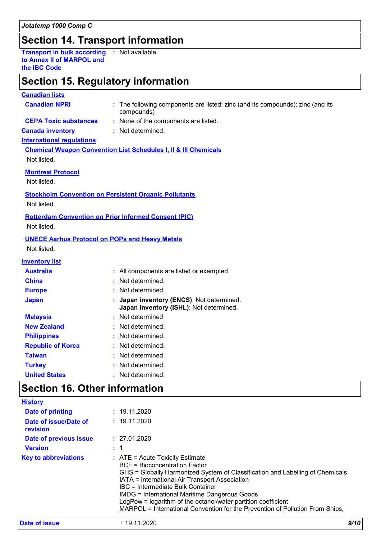### **Section 14. Transport information**

**Transport in bulk according :** Not available. **to Annex II of MARPOL and the IBC Code**

### **Section 15. Regulatory information**

#### **Canadian lists**

| <b>Canadian NPRI</b>                                                                                                                             | : The following components are listed: zinc (and its compounds); zinc (and its<br>compounds) |
|--------------------------------------------------------------------------------------------------------------------------------------------------|----------------------------------------------------------------------------------------------|
| <b>CEPA Toxic substances</b>                                                                                                                     | : None of the components are listed.                                                         |
| <b>Canada inventory</b>                                                                                                                          | : Not determined.                                                                            |
| <b>International requlations</b>                                                                                                                 |                                                                                              |
|                                                                                                                                                  | <b>Chemical Weapon Convention List Schedules I, II &amp; III Chemicals</b>                   |
| Not listed.                                                                                                                                      |                                                                                              |
| <b>Montreal Protocol</b>                                                                                                                         |                                                                                              |
| Not listed.                                                                                                                                      |                                                                                              |
| <b>Stockholm Convention on Persistent Organic Pollutants</b>                                                                                     |                                                                                              |
| Not listed.                                                                                                                                      |                                                                                              |
| <b>Rotterdam Convention on Prior Informed Consent (PIC)</b>                                                                                      |                                                                                              |
| Not listed.                                                                                                                                      |                                                                                              |
| <b>UNECE Aarhus Protocol on POPs and Heavy Metals</b>                                                                                            |                                                                                              |
| Not listed.                                                                                                                                      |                                                                                              |
| <b>Inventory list</b>                                                                                                                            |                                                                                              |
| <b>Australia</b>                                                                                                                                 | : All components are listed or exempted.                                                     |
| <b>China</b>                                                                                                                                     | Not determined.                                                                              |
| <b>Europe</b>                                                                                                                                    | Not determined.                                                                              |
| <b>Japan</b>                                                                                                                                     | Japan inventory (ENCS): Not determined.<br>Japan inventory (ISHL): Not determined.           |
| <b>Malaysia</b>                                                                                                                                  | : Not determined                                                                             |
| <b>New Zealand</b>                                                                                                                               | Not determined.                                                                              |
| <b>Philippines</b>                                                                                                                               | Not determined.                                                                              |
| <b>Republic of Korea</b>                                                                                                                         | Not determined.                                                                              |
| <b>Taiwan</b>                                                                                                                                    | Not determined.                                                                              |
| <b>Turkey</b>                                                                                                                                    | Not determined.                                                                              |
| <b>United States</b>                                                                                                                             | : Not determined.                                                                            |
| $\mathsf{O}_{\mathsf{A}}$ at $\mathsf{A}\mathsf{A}\mathsf{A}$ $\mathsf{A}\mathsf{A}$ and $\mathsf{A}\mathsf{B}$ are set $\mathsf{A}\mathsf{B}$ . |                                                                                              |

### **Section 16. Other information**

| <b>History</b>                    |                                                                                                                                                                                                                                                                                                                                                                                                                                                                      |
|-----------------------------------|----------------------------------------------------------------------------------------------------------------------------------------------------------------------------------------------------------------------------------------------------------------------------------------------------------------------------------------------------------------------------------------------------------------------------------------------------------------------|
| Date of printing                  | : 19.11.2020                                                                                                                                                                                                                                                                                                                                                                                                                                                         |
| Date of issue/Date of<br>revision | : 19.11.2020                                                                                                                                                                                                                                                                                                                                                                                                                                                         |
| Date of previous issue            | : 27.01.2020                                                                                                                                                                                                                                                                                                                                                                                                                                                         |
| <b>Version</b>                    |                                                                                                                                                                                                                                                                                                                                                                                                                                                                      |
| <b>Key to abbreviations</b>       | $\therefore$ ATE = Acute Toxicity Estimate<br><b>BCF</b> = Bioconcentration Factor<br>GHS = Globally Harmonized System of Classification and Labelling of Chemicals<br>IATA = International Air Transport Association<br>IBC = Intermediate Bulk Container<br><b>IMDG = International Maritime Dangerous Goods</b><br>LogPow = logarithm of the octanol/water partition coefficient<br>MARPOL = International Convention for the Prevention of Pollution From Ships, |